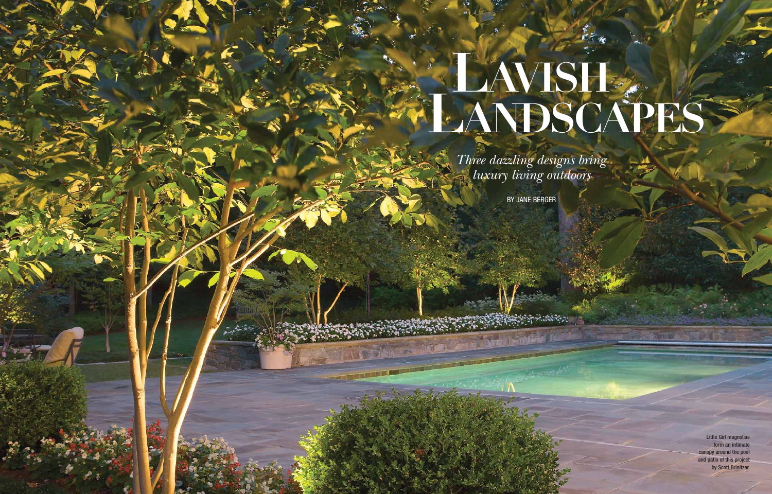*Three dazzling designs bring luxury living outdoors*

## LAVISH **LANDSCAPES**

BY JANE BERGER

**150** HOME&DESIGN MAY/JUNE 2010

Little Girl magnolias form an intimate canopy around the pool and patio of this project by Scott Brinitzer.